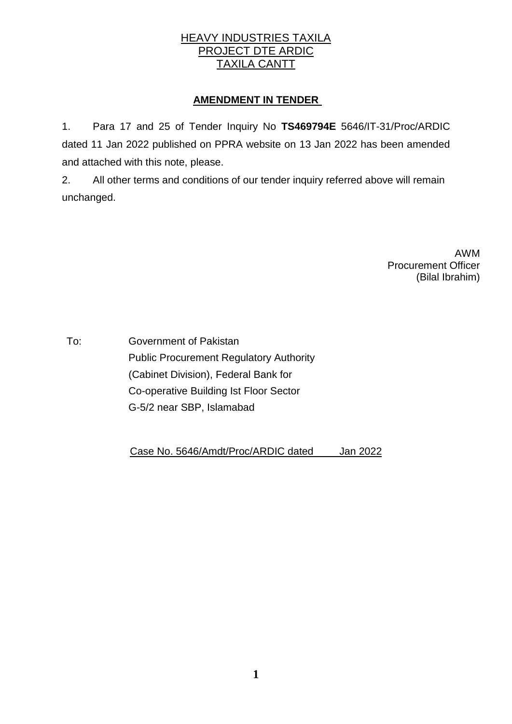## HEAVY INDUSTRIES TAXILA PROJECT DTE ARDIC TAXILA CANTT

## **AMENDMENT IN TENDER**

1. Para 17 and 25 of Tender Inquiry No **TS469794E** 5646/IT-31/Proc/ARDIC dated 11 Jan 2022 published on PPRA website on 13 Jan 2022 has been amended and attached with this note, please.

2. All other terms and conditions of our tender inquiry referred above will remain unchanged.

> AWM Procurement Officer (Bilal Ibrahim)

To: Government of Pakistan Public Procurement Regulatory Authority (Cabinet Division), Federal Bank for Co-operative Building Ist Floor Sector G-5/2 near SBP, Islamabad

Case No. 5646/Amdt/Proc/ARDIC dated Jan 2022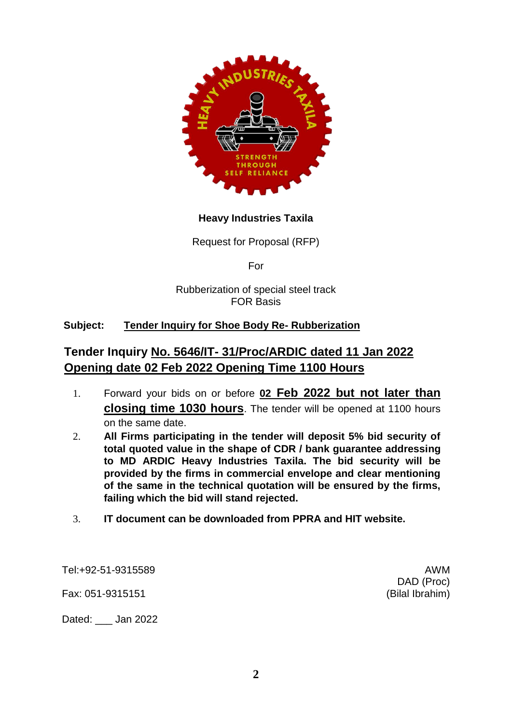

## **Heavy Industries Taxila**

Request for Proposal (RFP)

For

Rubberization of special steel track FOR Basis

## **Subject: Tender Inquiry for Shoe Body Re- Rubberization**

# **Tender Inquiry No. 5646/IT- 31/Proc/ARDIC dated 11 Jan 2022 Opening date 02 Feb 2022 Opening Time 1100 Hours**

- 1. Forward your bids on or before **02 Feb 2022 but not later than closing time 1030 hours**. The tender will be opened at 1100 hours on the same date.
- 2. **All Firms participating in the tender will deposit 5% bid security of total quoted value in the shape of CDR / bank guarantee addressing to MD ARDIC Heavy Industries Taxila. The bid security will be provided by the firms in commercial envelope and clear mentioning of the same in the technical quotation will be ensured by the firms, failing which the bid will stand rejected.**
- 3. **IT document can be downloaded from PPRA and HIT website.**

Tel:+92-51-9315589 AWM

Fax: 051-9315151 (Bilal Ibrahim)

Dated: Jan 2022

DAD (Proc)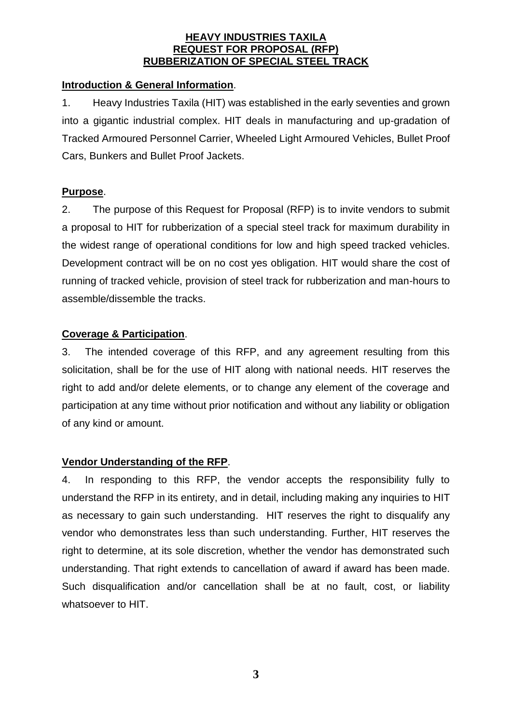#### **HEAVY INDUSTRIES TAXILA REQUEST FOR PROPOSAL (RFP) RUBBERIZATION OF SPECIAL STEEL TRACK**

### **Introduction & General Information**.

1. Heavy Industries Taxila (HIT) was established in the early seventies and grown into a gigantic industrial complex. HIT deals in manufacturing and up-gradation of Tracked Armoured Personnel Carrier, Wheeled Light Armoured Vehicles, Bullet Proof Cars, Bunkers and Bullet Proof Jackets.

## **Purpose**.

2. The purpose of this Request for Proposal (RFP) is to invite vendors to submit a proposal to HIT for rubberization of a special steel track for maximum durability in the widest range of operational conditions for low and high speed tracked vehicles. Development contract will be on no cost yes obligation. HIT would share the cost of running of tracked vehicle, provision of steel track for rubberization and man-hours to assemble/dissemble the tracks.

#### **Coverage & Participation**.

3. The intended coverage of this RFP, and any agreement resulting from this solicitation, shall be for the use of HIT along with national needs. HIT reserves the right to add and/or delete elements, or to change any element of the coverage and participation at any time without prior notification and without any liability or obligation of any kind or amount.

## **Vendor Understanding of the RFP**.

4. In responding to this RFP, the vendor accepts the responsibility fully to understand the RFP in its entirety, and in detail, including making any inquiries to HIT as necessary to gain such understanding. HIT reserves the right to disqualify any vendor who demonstrates less than such understanding. Further, HIT reserves the right to determine, at its sole discretion, whether the vendor has demonstrated such understanding. That right extends to cancellation of award if award has been made. Such disqualification and/or cancellation shall be at no fault, cost, or liability whatsoever to HIT.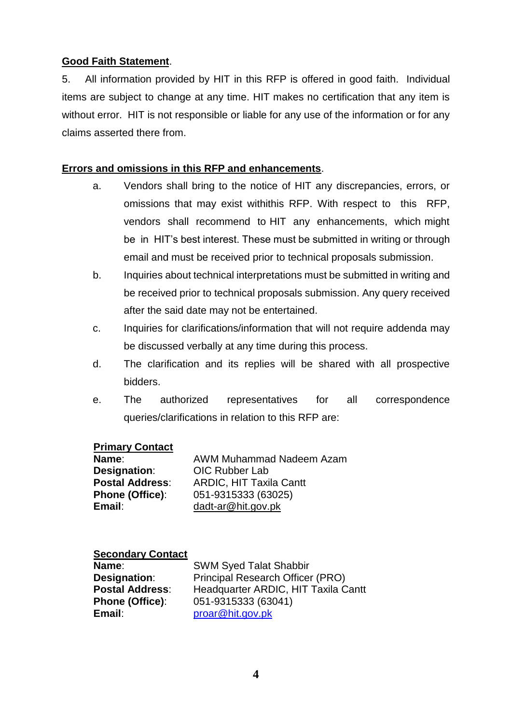### **Good Faith Statement**.

5. All information provided by HIT in this RFP is offered in good faith. Individual items are subject to change at any time. HIT makes no certification that any item is without error. HIT is not responsible or liable for any use of the information or for any claims asserted there from.

## **Errors and omissions in this RFP and enhancements**.

- a. Vendors shall bring to the notice of HIT any discrepancies, errors, or omissions that may exist withithis RFP. With respect to this RFP, vendors shall recommend to HIT any enhancements, which might be in HIT's best interest. These must be submitted in writing or through email and must be received prior to technical proposals submission.
- b. Inquiries about technical interpretations must be submitted in writing and be received prior to technical proposals submission. Any query received after the said date may not be entertained.
- c. Inquiries for clarifications/information that will not require addenda may be discussed verbally at any time during this process.
- d. The clarification and its replies will be shared with all prospective bidders.
- e. The authorized representatives for all correspondence queries/clarifications in relation to this RFP are:

#### **Primary Contact**

| Name:                  | AWM Muhammad Nadeem Azam       |
|------------------------|--------------------------------|
| Designation:           | <b>OIC Rubber Lab</b>          |
| <b>Postal Address:</b> | <b>ARDIC, HIT Taxila Cantt</b> |
| <b>Phone (Office):</b> | 051-9315333 (63025)            |
| Email:                 | dadt-ar@hit.gov.pk             |

#### **Secondary Contact**

| Name:                  |  |
|------------------------|--|
| Designation:           |  |
| <b>Postal Address:</b> |  |
| <b>Phone (Office):</b> |  |
| Email:                 |  |

SWM Syed Talat Shabbir Principal Research Officer (PRO) Headquarter ARDIC, HIT Taxila Cantt 051-9315333 (63041) [proar@hit.gov.pk](mailto:proar@hit.gov.pk)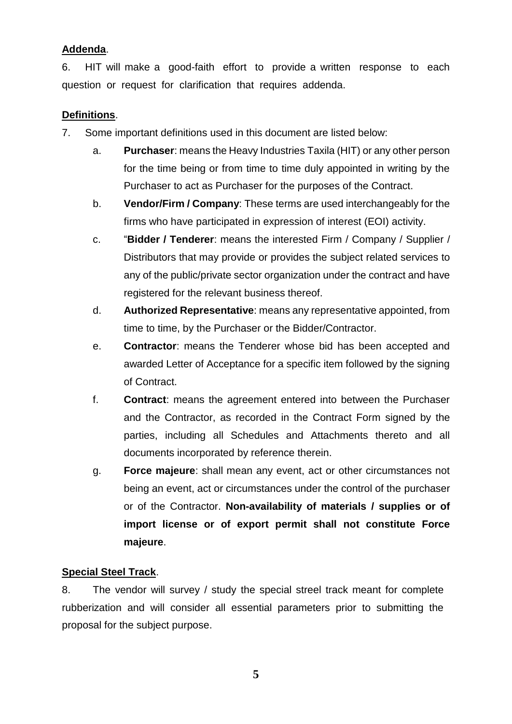## **Addenda**.

6. HIT will make a good-faith effort to provide a written response to each question or request for clarification that requires addenda.

### **Definitions**.

- 7. Some important definitions used in this document are listed below:
	- a. **Purchaser**: means the Heavy Industries Taxila (HIT) or any other person for the time being or from time to time duly appointed in writing by the Purchaser to act as Purchaser for the purposes of the Contract.
	- b. **Vendor/Firm / Company**: These terms are used interchangeably for the firms who have participated in expression of interest (EOI) activity.
	- c. "**Bidder / Tenderer**: means the interested Firm / Company / Supplier / Distributors that may provide or provides the subject related services to any of the public/private sector organization under the contract and have registered for the relevant business thereof.
	- d. **Authorized Representative**: means any representative appointed, from time to time, by the Purchaser or the Bidder/Contractor.
	- e. **Contractor**: means the Tenderer whose bid has been accepted and awarded Letter of Acceptance for a specific item followed by the signing of Contract.
	- f. **Contract**: means the agreement entered into between the Purchaser and the Contractor, as recorded in the Contract Form signed by the parties, including all Schedules and Attachments thereto and all documents incorporated by reference therein.
	- g. **Force majeure**: shall mean any event, act or other circumstances not being an event, act or circumstances under the control of the purchaser or of the Contractor. **Non-availability of materials / supplies or of import license or of export permit shall not constitute Force majeure**.

## **Special Steel Track**.

8. The vendor will survey / study the special streel track meant for complete rubberization and will consider all essential parameters prior to submitting the proposal for the subject purpose.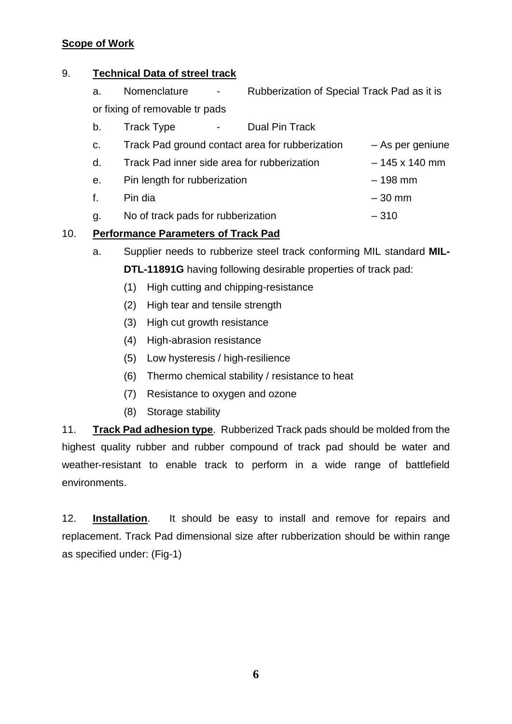## **Scope of Work**

#### 9. **Technical Data of streel track**

- a. Nomenclature Rubberization of Special Track Pad as it is or fixing of removable tr pads
- b. Track Type Dual Pin Track

| C. | Track Pad ground contact area for rubberization | – As per geniune     |
|----|-------------------------------------------------|----------------------|
| d. | Track Pad inner side area for rubberization     | $-145 \times 140$ mm |
| e. | Pin length for rubberization                    | $-198$ mm            |
|    |                                                 |                      |

- f. Pin dia 30 mm
- g. No of track pads for rubberization 310

## 10. **Performance Parameters of Track Pad**

- a. Supplier needs to rubberize steel track conforming MIL standard **MIL-DTL-11891G** having following desirable properties of track pad:
	- (1) High cutting and chipping-resistance
	- (2) High tear and tensile strength
	- (3) High cut growth resistance
	- (4) High-abrasion resistance
	- (5) Low hysteresis / high-resilience
	- (6) Thermo chemical stability / resistance to heat
	- (7) Resistance to oxygen and ozone
	- (8) Storage stability

11. **Track Pad adhesion type**. Rubberized Track pads should be molded from the highest quality rubber and rubber compound of track pad should be water and weather-resistant to enable track to perform in a wide range of battlefield environments.

12. **Installation**. It should be easy to install and remove for repairs and replacement. Track Pad dimensional size after rubberization should be within range as specified under: (Fig-1)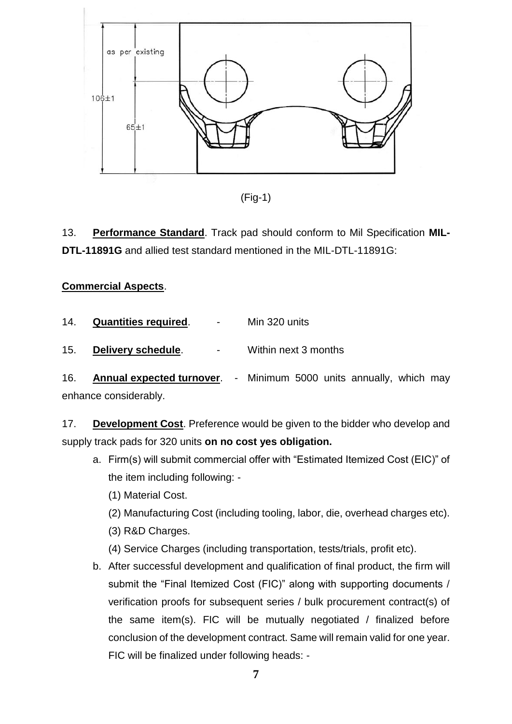

(Fig-1)

13. **Performance Standard**. Track pad should conform to Mil Specification **MIL-DTL-11891G** and allied test standard mentioned in the MIL-DTL-11891G:

# **Commercial Aspects**.

| <b>Quantities required.</b><br>14. |  | Min 320 units |
|------------------------------------|--|---------------|
|------------------------------------|--|---------------|

15. **Delivery schedule**. - Within next 3 months

16. **Annual expected turnover**. - Minimum 5000 units annually, which may enhance considerably.

17. **Development Cost**. Preference would be given to the bidder who develop and supply track pads for 320 units **on no cost yes obligation.**

- a. Firm(s) will submit commercial offer with "Estimated Itemized Cost (EIC)" of the item including following: -
	- (1) Material Cost.
	- (2) Manufacturing Cost (including tooling, labor, die, overhead charges etc).
	- (3) R&D Charges.
	- (4) Service Charges (including transportation, tests/trials, profit etc).
- b. After successful development and qualification of final product, the firm will submit the "Final Itemized Cost (FIC)" along with supporting documents / verification proofs for subsequent series / bulk procurement contract(s) of the same item(s). FIC will be mutually negotiated / finalized before conclusion of the development contract. Same will remain valid for one year. FIC will be finalized under following heads: -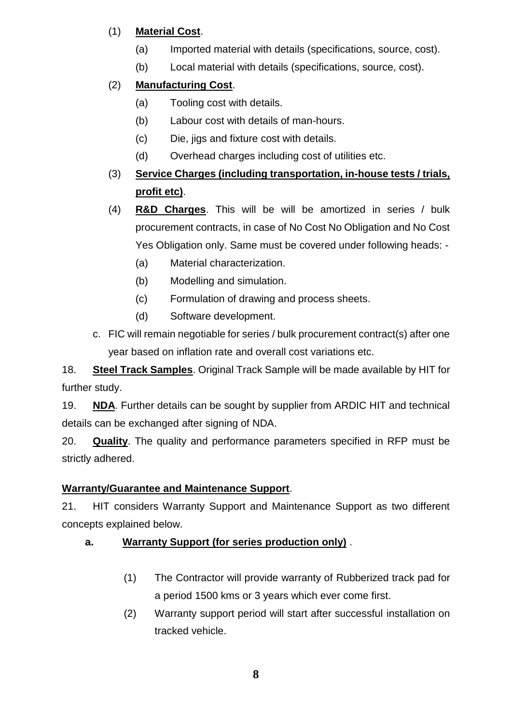# (1) **Material Cost**.

- (a) Imported material with details (specifications, source, cost).
- (b) Local material with details (specifications, source, cost).

# (2) **Manufacturing Cost**.

- (a) Tooling cost with details.
- (b) Labour cost with details of man-hours.
- (c) Die, jigs and fixture cost with details.
- (d) Overhead charges including cost of utilities etc.

# (3) **Service Charges (including transportation, in-house tests / trials, profit etc)**.

- (4) **R&D Charges**. This will be will be amortized in series / bulk procurement contracts, in case of No Cost No Obligation and No Cost Yes Obligation only. Same must be covered under following heads: -
	- (a) Material characterization.
	- (b) Modelling and simulation.
	- (c) Formulation of drawing and process sheets.
	- (d) Software development.
- c. FIC will remain negotiable for series / bulk procurement contract(s) after one year based on inflation rate and overall cost variations etc.

18. **Steel Track Samples**. Original Track Sample will be made available by HIT for further study.

19. **NDA**. Further details can be sought by supplier from ARDIC HIT and technical details can be exchanged after signing of NDA.

20. **Quality**. The quality and performance parameters specified in RFP must be strictly adhered.

# **Warranty/Guarantee and Maintenance Support**.

21. HIT considers Warranty Support and Maintenance Support as two different concepts explained below.

# **a. Warranty Support (for series production only)** .

- (1) The Contractor will provide warranty of Rubberized track pad for a period 1500 kms or 3 years which ever come first.
- (2) Warranty support period will start after successful installation on tracked vehicle.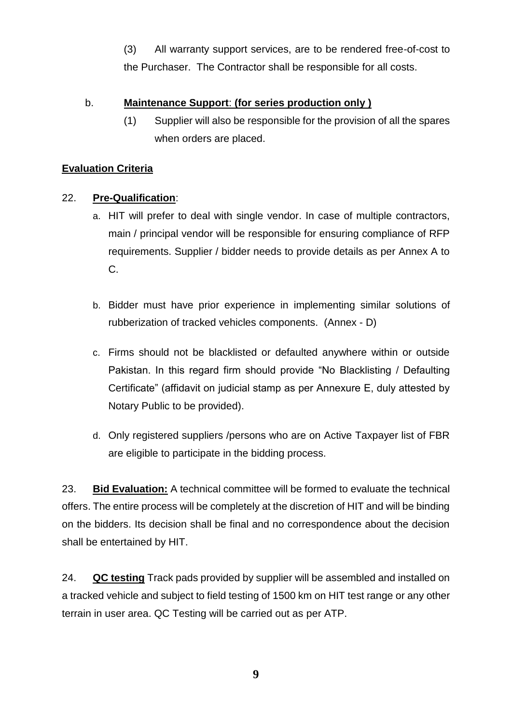(3) All warranty support services, are to be rendered free-of-cost to the Purchaser. The Contractor shall be responsible for all costs.

## b. **Maintenance Support**: **(for series production only )**

(1) Supplier will also be responsible for the provision of all the spares when orders are placed.

# **Evaluation Criteria**

## 22. **Pre-Qualification**:

- a. HIT will prefer to deal with single vendor. In case of multiple contractors, main / principal vendor will be responsible for ensuring compliance of RFP requirements. Supplier / bidder needs to provide details as per Annex A to C.
- b. Bidder must have prior experience in implementing similar solutions of rubberization of tracked vehicles components. (Annex - D)
- c. Firms should not be blacklisted or defaulted anywhere within or outside Pakistan. In this regard firm should provide "No Blacklisting / Defaulting Certificate" (affidavit on judicial stamp as per Annexure E, duly attested by Notary Public to be provided).
- d. Only registered suppliers /persons who are on Active Taxpayer list of FBR are eligible to participate in the bidding process.

23. **Bid Evaluation:** A technical committee will be formed to evaluate the technical offers. The entire process will be completely at the discretion of HIT and will be binding on the bidders. Its decision shall be final and no correspondence about the decision shall be entertained by HIT.

24. **QC testing** Track pads provided by supplier will be assembled and installed on a tracked vehicle and subject to field testing of 1500 km on HIT test range or any other terrain in user area. QC Testing will be carried out as per ATP.

**9**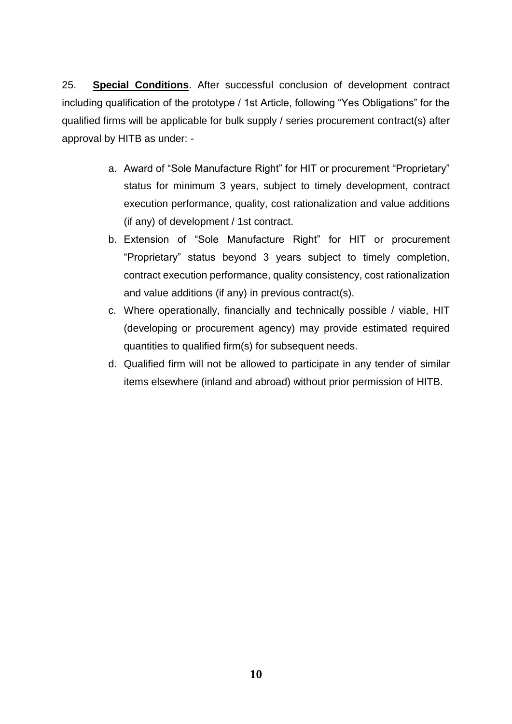25. **Special Conditions**. After successful conclusion of development contract including qualification of the prototype / 1st Article, following "Yes Obligations" for the qualified firms will be applicable for bulk supply / series procurement contract(s) after approval by HITB as under: -

- a. Award of "Sole Manufacture Right" for HIT or procurement "Proprietary" status for minimum 3 years, subject to timely development, contract execution performance, quality, cost rationalization and value additions (if any) of development / 1st contract.
- b. Extension of "Sole Manufacture Right" for HIT or procurement "Proprietary" status beyond 3 years subject to timely completion, contract execution performance, quality consistency, cost rationalization and value additions (if any) in previous contract(s).
- c. Where operationally, financially and technically possible / viable, HIT (developing or procurement agency) may provide estimated required quantities to qualified firm(s) for subsequent needs.
- d. Qualified firm will not be allowed to participate in any tender of similar items elsewhere (inland and abroad) without prior permission of HITB.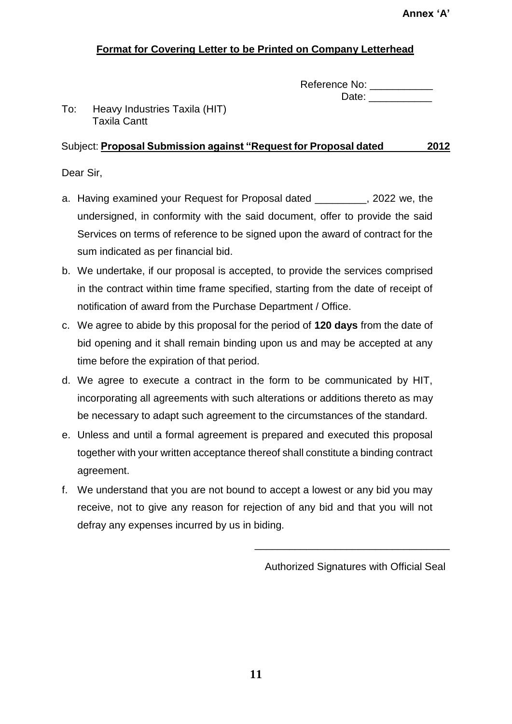# **Format for Covering Letter to be Printed on Company Letterhead**

| Reference No: |  |
|---------------|--|
| Date:         |  |

To: Heavy Industries Taxila (HIT) Taxila Cantt

# Subject: **Proposal Submission against "Request for Proposal dated 2012**

Dear Sir,

- a. Having examined your Request for Proposal dated **and Repart 10**, 2022 we, the undersigned, in conformity with the said document, offer to provide the said Services on terms of reference to be signed upon the award of contract for the sum indicated as per financial bid.
- b. We undertake, if our proposal is accepted, to provide the services comprised in the contract within time frame specified, starting from the date of receipt of notification of award from the Purchase Department / Office.
- c. We agree to abide by this proposal for the period of **120 days** from the date of bid opening and it shall remain binding upon us and may be accepted at any time before the expiration of that period.
- d. We agree to execute a contract in the form to be communicated by HIT, incorporating all agreements with such alterations or additions thereto as may be necessary to adapt such agreement to the circumstances of the standard.
- e. Unless and until a formal agreement is prepared and executed this proposal together with your written acceptance thereof shall constitute a binding contract agreement.
- f. We understand that you are not bound to accept a lowest or any bid you may receive, not to give any reason for rejection of any bid and that you will not defray any expenses incurred by us in biding.

Authorized Signatures with Official Seal

\_\_\_\_\_\_\_\_\_\_\_\_\_\_\_\_\_\_\_\_\_\_\_\_\_\_\_\_\_\_\_\_\_\_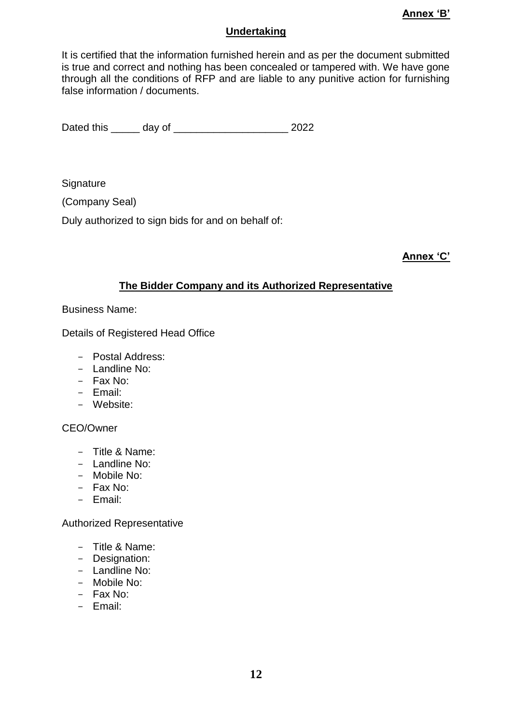#### **Undertaking**

It is certified that the information furnished herein and as per the document submitted is true and correct and nothing has been concealed or tampered with. We have gone through all the conditions of RFP and are liable to any punitive action for furnishing false information / documents.

Dated this \_\_\_\_\_ day of \_\_\_\_\_\_\_\_\_\_\_\_\_\_\_\_\_\_\_\_ 2022

**Signature** 

(Company Seal)

Duly authorized to sign bids for and on behalf of:

**Annex 'C'**

#### **The Bidder Company and its Authorized Representative**

Business Name:

Details of Registered Head Office

- Postal Address:
- Landline No:
- Fax No:
- Email:
- Website:

#### CEO/Owner

- Title & Name:
- Landline No:
- Mobile No:
- Fax No:
- Email:

#### Authorized Representative

- Title & Name:
- Designation:
- Landline No:
- Mobile No:
- Fax No:
- Email: